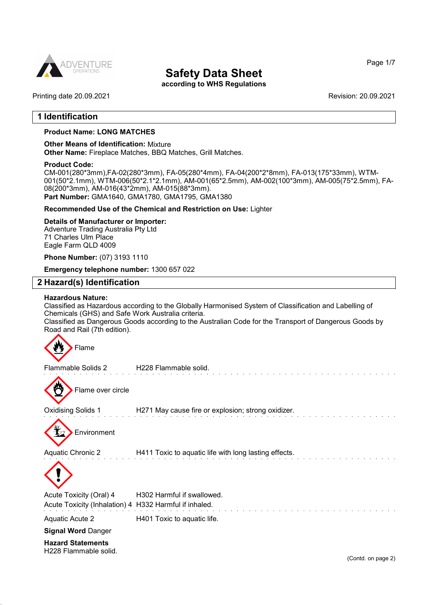

according to WHS Regulations

Printing date 20.09.2021 Revision: 20.09.2021

## 1 Identification

### Product Name: LONG MATCHES

### Other Means of Identification: Mixture

Other Name: Fireplace Matches, BBQ Matches, Grill Matches.

#### Product Code:

CM-001(280\*3mm),FA-02(280\*3mm), FA-05(280\*4mm), FA-04(200\*2\*8mm), FA-013(175\*33mm), WTM-001(50\*2.1mm), WTM-006(50\*2.1\*2.1mm), AM-001(65\*2.5mm), AM-002(100\*3mm), AM-005(75\*2.5mm), FA-08(200\*3mm), AM-016(43\*2mm), AM-015(88\*3mm). Part Number: GMA1640, GMA1780, GMA1795, GMA1380

### Recommended Use of the Chemical and Restriction on Use: Lighter

#### Details of Manufacturer or Importer:

Adventure Trading Australia Pty Ltd 71 Charles Ulm Place Eagle Farm QLD 4009

Phone Number: (07) 3193 1110

Emergency telephone number: 1300 657 022

### 2 Hazard(s) Identification

### Hazardous Nature:

Classified as Hazardous according to the Globally Harmonised System of Classification and Labelling of Chemicals (GHS) and Safe Work Australia criteria.

Classified as Dangerous Goods according to the Australian Code for the Transport of Dangerous Goods by Road and Rail (7th edition).

Flame Flammable Solids 2 H228 Flammable solid. Flame over circle Oxidising Solids 1 H271 May cause fire or explosion; strong oxidizer. **Environment** Aquatic Chronic 2 **H411 Toxic to aquatic life with long lasting effects.** Acute Toxicity (Oral) 4 H302 Harmful if swallowed. Acute Toxicity (Inhalation) 4 H332 Harmful if inhaled.

Aquatic Acute 2 H401 Toxic to aquatic life.

Signal Word Danger

Hazard Statements H228 Flammable solid.

(Contd. on page 2)

Page 1/7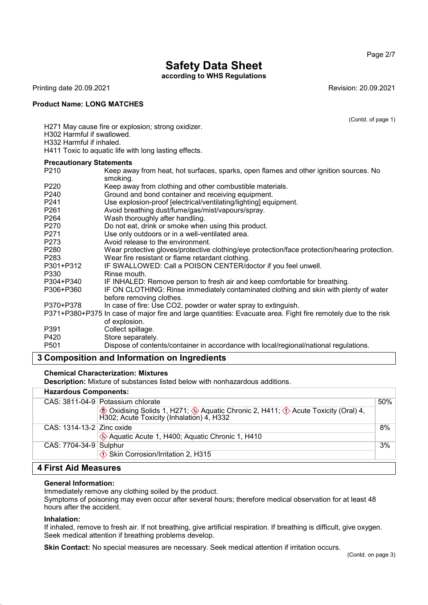Page 2/7

# Safety Data Sheet

according to WHS Regulations

Printing date 20.09.2021 **Revision: 20.09.2021** Revision: 20.09.2021

### Product Name: LONG MATCHES

(Contd. of page 1)

H271 May cause fire or explosion; strong oxidizer.

H302 Harmful if swallowed.

H332 Harmful if inhaled.

H411 Toxic to aquatic life with long lasting effects.

### Precautionary Statements

| P210             | Keep away from heat, hot surfaces, sparks, open flames and other ignition sources. No<br>smoking.                              |
|------------------|--------------------------------------------------------------------------------------------------------------------------------|
| P220             | Keep away from clothing and other combustible materials.                                                                       |
| P240             | Ground and bond container and receiving equipment.                                                                             |
| P <sub>241</sub> | Use explosion-proof [electrical/ventilating/lighting] equipment.                                                               |
| P <sub>261</sub> | Avoid breathing dust/fume/gas/mist/vapours/spray.                                                                              |
| P <sub>264</sub> | Wash thoroughly after handling.                                                                                                |
| P270             | Do not eat, drink or smoke when using this product.                                                                            |
| P <sub>271</sub> | Use only outdoors or in a well-ventilated area.                                                                                |
| P273             | Avoid release to the environment.                                                                                              |
| P280             | Wear protective gloves/protective clothing/eye protection/face protection/hearing protection.                                  |
| P <sub>283</sub> | Wear fire resistant or flame retardant clothing.                                                                               |
| P301+P312        | IF SWALLOWED: Call a POISON CENTER/doctor if you feel unwell.                                                                  |
| P330             | Rinse mouth.                                                                                                                   |
| P304+P340        | IF INHALED: Remove person to fresh air and keep comfortable for breathing.                                                     |
| P306+P360        | IF ON CLOTHING: Rinse immediately contaminated clothing and skin with plenty of water<br>before removing clothes.              |
| P370+P378        | In case of fire: Use CO2, powder or water spray to extinguish.                                                                 |
|                  | P371+P380+P375 In case of major fire and large quantities: Evacuate area. Fight fire remotely due to the risk<br>of explosion. |
| P391             | Collect spillage.                                                                                                              |
| P420             | Store separately.                                                                                                              |
| P <sub>501</sub> | Dispose of contents/container in accordance with local/regional/national regulations.                                          |

## 3 Composition and Information on Ingredients

### Chemical Characterization: Mixtures

Description: Mixture of substances listed below with nonhazardous additions.

## Hazardous Components:

|                             | CAS: 3811-04-9 Potassium chlorate                                                                                           | 50% |
|-----------------------------|-----------------------------------------------------------------------------------------------------------------------------|-----|
|                             | ◈ Oxidising Solids 1, H271; ◈ Aquatic Chronic 2, H411; ◊ Acute Toxicity (Oral) 4, H302; Acute Toxicity (Inhalation) 4, H332 |     |
| CAS: $1314-13-2$ Zinc oxide |                                                                                                                             | 8%  |
|                             | Aquatic Acute 1, H400; Aquatic Chronic 1, H410                                                                              |     |
| CAS: 7704-34-9 Sulphur      |                                                                                                                             | 3%  |
|                             | <b>♦ Skin Corrosion/Irritation 2, H315</b>                                                                                  |     |
|                             |                                                                                                                             |     |

## 4 First Aid Measures

### General Information:

Immediately remove any clothing soiled by the product. Symptoms of poisoning may even occur after several hours; therefore medical observation for at least 48 hours after the accident.

### Inhalation:

If inhaled, remove to fresh air. If not breathing, give artificial respiration. If breathing is difficult, give oxygen. Seek medical attention if breathing problems develop.

Skin Contact: No special measures are necessary. Seek medical attention if irritation occurs.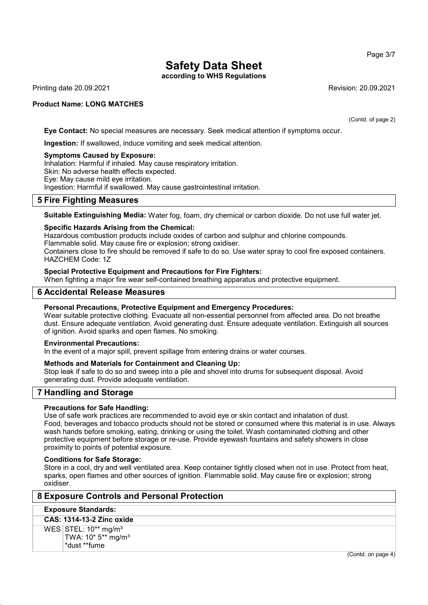according to WHS Regulations

Printing date 20.09.2021 Revision: 20.09.2021

### Product Name: LONG MATCHES

(Contd. of page 2)

Eye Contact: No special measures are necessary. Seek medical attention if symptoms occur.

Ingestion: If swallowed, induce vomiting and seek medical attention.

#### Symptoms Caused by Exposure:

Inhalation: Harmful if inhaled. May cause respiratory irritation. Skin: No adverse health effects expected. Eye: May cause mild eye irritation. Ingestion: Harmful if swallowed. May cause gastrointestinal irritation.

### 5 Fire Fighting Measures

Suitable Extinguishing Media: Water fog, foam, dry chemical or carbon dioxide. Do not use full water jet.

### Specific Hazards Arising from the Chemical:

Hazardous combustion products include oxides of carbon and sulphur and chlorine compounds. Flammable solid. May cause fire or explosion; strong oxidiser.

Containers close to fire should be removed if safe to do so. Use water spray to cool fire exposed containers. HAZCHEM Code: 1Z

### Special Protective Equipment and Precautions for Fire Fighters:

When fighting a major fire wear self-contained breathing apparatus and protective equipment.

### 6 Accidental Release Measures

### Personal Precautions, Protective Equipment and Emergency Procedures:

Wear suitable protective clothing. Evacuate all non-essential personnel from affected area. Do not breathe dust. Ensure adequate ventilation. Avoid generating dust. Ensure adequate ventilation. Extinguish all sources of ignition. Avoid sparks and open flames. No smoking.

### Environmental Precautions:

In the event of a major spill, prevent spillage from entering drains or water courses.

### Methods and Materials for Containment and Cleaning Up:

Stop leak if safe to do so and sweep into a pile and shovel into drums for subsequent disposal. Avoid generating dust. Provide adequate ventilation.

## 7 Handling and Storage

### Precautions for Safe Handling:

Use of safe work practices are recommended to avoid eye or skin contact and inhalation of dust. Food, beverages and tobacco products should not be stored or consumed where this material is in use. Always wash hands before smoking, eating, drinking or using the toilet. Wash contaminated clothing and other protective equipment before storage or re-use. Provide eyewash fountains and safety showers in close proximity to points of potential exposure.

### Conditions for Safe Storage:

Store in a cool, dry and well ventilated area. Keep container tightly closed when not in use. Protect from heat, sparks, open flames and other sources of ignition. Flammable solid. May cause fire or explosion; strong oxidiser.

### 8 Exposure Controls and Personal Protection

### Exposure Standards:

### CAS: 1314-13-2 Zinc oxide

WES STEL: 10\*\* mg/m<sup>3</sup> TWA: 10\* 5\*\* mg/m³ \*dust \*\*fume

(Contd. on page 4)

Page 3/7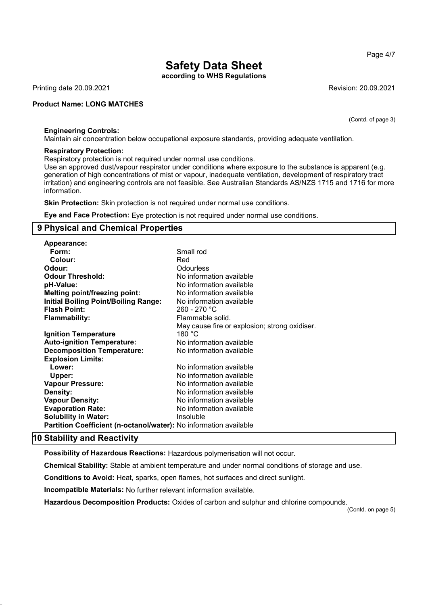according to WHS Regulations

Printing date 20.09.2021 **Revision: 20.09.2021** Revision: 20.09.2021

### Product Name: LONG MATCHES

(Contd. of page 3)

### Engineering Controls:

Maintain air concentration below occupational exposure standards, providing adequate ventilation.

#### Respiratory Protection:

Respiratory protection is not required under normal use conditions.

Use an approved dust/vapour respirator under conditions where exposure to the substance is apparent (e.g. generation of high concentrations of mist or vapour, inadequate ventilation, development of respiratory tract irritation) and engineering controls are not feasible. See Australian Standards AS/NZS 1715 and 1716 for more information.

Skin Protection: Skin protection is not required under normal use conditions.

Eye and Face Protection: Eye protection is not required under normal use conditions.

### 9 Physical and Chemical Properties

| Appearance:                                                              |                                               |
|--------------------------------------------------------------------------|-----------------------------------------------|
| Form:                                                                    | Small rod                                     |
| Colour:                                                                  | Red                                           |
| Odour:                                                                   | Odourless                                     |
| <b>Odour Threshold:</b>                                                  | No information available                      |
| pH-Value:                                                                | No information available                      |
| <b>Melting point/freezing point:</b>                                     | No information available                      |
| <b>Initial Boiling Point/Boiling Range:</b>                              | No information available                      |
| <b>Flash Point:</b>                                                      | 260 - 270 °C                                  |
| <b>Flammability:</b>                                                     | Flammable solid.                              |
|                                                                          | May cause fire or explosion; strong oxidiser. |
| <b>Ignition Temperature</b>                                              | 180 $^{\circ}$ C                              |
| <b>Auto-ignition Temperature:</b>                                        | No information available                      |
| <b>Decomposition Temperature:</b>                                        | No information available                      |
| <b>Explosion Limits:</b>                                                 |                                               |
| Lower:                                                                   | No information available                      |
| Upper:                                                                   | No information available                      |
| <b>Vapour Pressure:</b>                                                  | No information available                      |
| Density:                                                                 | No information available                      |
| <b>Vapour Density:</b>                                                   | No information available                      |
| <b>Evaporation Rate:</b>                                                 | No information available                      |
| <b>Solubility in Water:</b>                                              | Insoluble                                     |
| <b>Partition Coefficient (n-octanol/water):</b> No information available |                                               |
|                                                                          |                                               |

### 10 Stability and Reactivity

Possibility of Hazardous Reactions: Hazardous polymerisation will not occur.

Chemical Stability: Stable at ambient temperature and under normal conditions of storage and use.

Conditions to Avoid: Heat, sparks, open flames, hot surfaces and direct sunlight.

Incompatible Materials: No further relevant information available.

Hazardous Decomposition Products: Oxides of carbon and sulphur and chlorine compounds.

(Contd. on page 5)

Page 4/7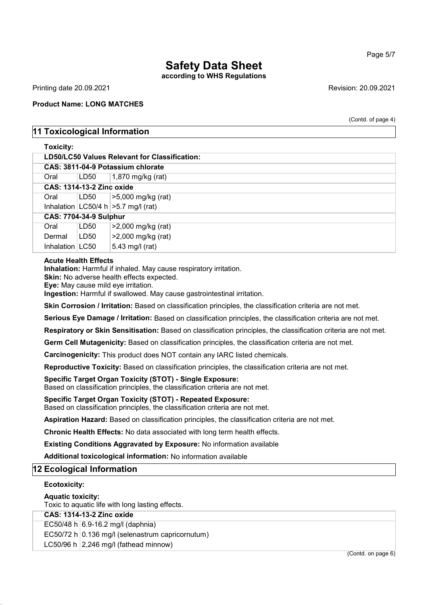## according to WHS Regulations

Printing date 20.09.2021 Revision: 20.09.2021

### Product Name: LONG MATCHES

(Contd. of page 4)

Page 5/7

## 11 Toxicological Information

### Toxicity:

| LD50/LC50 Values Relevant for Classification: |                                   |                                          |  |  |  |
|-----------------------------------------------|-----------------------------------|------------------------------------------|--|--|--|
|                                               | CAS: 3811-04-9 Potassium chlorate |                                          |  |  |  |
| Oral                                          | LD50                              | $1,870$ mg/kg (rat)                      |  |  |  |
|                                               | <b>CAS: 1314-13-2 Zinc oxide</b>  |                                          |  |  |  |
| Oral                                          | LD50                              | >5,000 mg/kg (rat)                       |  |  |  |
|                                               |                                   | Inhalation $ LC50/4 h  > 5.7 mg/l$ (rat) |  |  |  |
| <b>CAS: 7704-34-9 Sulphur</b>                 |                                   |                                          |  |  |  |
| Oral                                          | LD50                              | >2,000 mg/kg (rat)                       |  |  |  |
| Dermal                                        | LD50                              | >2,000 mg/kg (rat)                       |  |  |  |
| Inhalation $ $ LC50                           |                                   | 5.43 mg/l (rat)                          |  |  |  |

### Acute Health Effects

Inhalation: Harmful if inhaled. May cause respiratory irritation.

Skin: No adverse health effects expected.

Eye: May cause mild eye irritation.

Ingestion: Harmful if swallowed. May cause gastrointestinal irritation.

Skin Corrosion / Irritation: Based on classification principles, the classification criteria are not met.

Serious Eye Damage / Irritation: Based on classification principles, the classification criteria are not met.

Respiratory or Skin Sensitisation: Based on classification principles, the classification criteria are not met.

Germ Cell Mutagenicity: Based on classification principles, the classification criteria are not met.

Carcinogenicity: This product does NOT contain any IARC listed chemicals.

Reproductive Toxicity: Based on classification principles, the classification criteria are not met.

### Specific Target Organ Toxicity (STOT) - Single Exposure:

Based on classification principles, the classification criteria are not met.

### Specific Target Organ Toxicity (STOT) - Repeated Exposure:

Based on classification principles, the classification criteria are not met.

Aspiration Hazard: Based on classification principles, the classification criteria are not met.

Chronic Health Effects: No data associated with long term health effects.

Existing Conditions Aggravated by Exposure: No information available

Additional toxicological information: No information available

### 12 Ecological Information

### Ecotoxicity:

### Aquatic toxicity:

Toxic to aquatic life with long lasting effects.

### CAS: 1314-13-2 Zinc oxide

EC50/48 h  $6.9-16.2$  mg/l (daphnia)

EC50/72 h  $\vert$  0.136 mg/l (selenastrum capricornutum)

LC50/96 h  $\sqrt{2,246}$  mg/l (fathead minnow)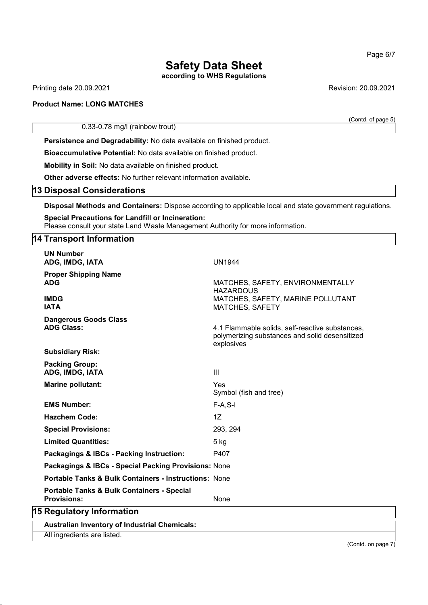according to WHS Regulations

Printing date 20.09.2021 **Revision: 20.09.2021** 

### Product Name: LONG MATCHES

0.33-0.78 mg/l (rainbow trout)

Persistence and Degradability: No data available on finished product.

Bioaccumulative Potential: No data available on finished product.

Mobility in Soil: No data available on finished product.

Other adverse effects: No further relevant information available.

### 13 Disposal Considerations

Disposal Methods and Containers: Dispose according to applicable local and state government regulations.

### Special Precautions for Landfill or Incineration: Please consult your state Land Waste Management Authority for more information.

### 14 Transport Information

|                           | <b>UN Number</b><br>ADG, IMDG, IATA                                         | <b>UN1944</b>                                                                                                   |  |  |
|---------------------------|-----------------------------------------------------------------------------|-----------------------------------------------------------------------------------------------------------------|--|--|
|                           | <b>Proper Shipping Name</b><br><b>ADG</b>                                   | MATCHES, SAFETY, ENVIRONMENTALLY<br><b>HAZARDOUS</b>                                                            |  |  |
|                           | <b>IMDG</b><br><b>IATA</b>                                                  | MATCHES, SAFETY, MARINE POLLUTANT<br><b>MATCHES, SAFETY</b>                                                     |  |  |
|                           | <b>Dangerous Goods Class</b><br><b>ADG Class:</b>                           | 4.1 Flammable solids, self-reactive substances,<br>polymerizing substances and solid desensitized<br>explosives |  |  |
|                           | <b>Subsidiary Risk:</b>                                                     |                                                                                                                 |  |  |
|                           | <b>Packing Group:</b><br>ADG, IMDG, IATA                                    | $\mathbf{III}$                                                                                                  |  |  |
|                           | Marine pollutant:                                                           | Yes<br>Symbol (fish and tree)                                                                                   |  |  |
|                           | <b>EMS Number:</b>                                                          | $F-A, S-I$                                                                                                      |  |  |
|                           | <b>Hazchem Code:</b>                                                        | 1Z                                                                                                              |  |  |
|                           | <b>Special Provisions:</b>                                                  | 293, 294                                                                                                        |  |  |
|                           | <b>Limited Quantities:</b>                                                  | $5$ kg                                                                                                          |  |  |
|                           | Packagings & IBCs - Packing Instruction:                                    | P407                                                                                                            |  |  |
|                           | Packagings & IBCs - Special Packing Provisions: None                        |                                                                                                                 |  |  |
|                           | <b>Portable Tanks &amp; Bulk Containers - Instructions: None</b>            |                                                                                                                 |  |  |
|                           | <b>Portable Tanks &amp; Bulk Containers - Special</b><br><b>Provisions:</b> | None                                                                                                            |  |  |
| 15 Regulatory Information |                                                                             |                                                                                                                 |  |  |
|                           | <b>Australian Inventory of Industrial Chemicals:</b>                        |                                                                                                                 |  |  |
|                           | All ingredients are listed.                                                 |                                                                                                                 |  |  |

Page 6/7

(Contd. of page 5)

(Contd. on page 7)